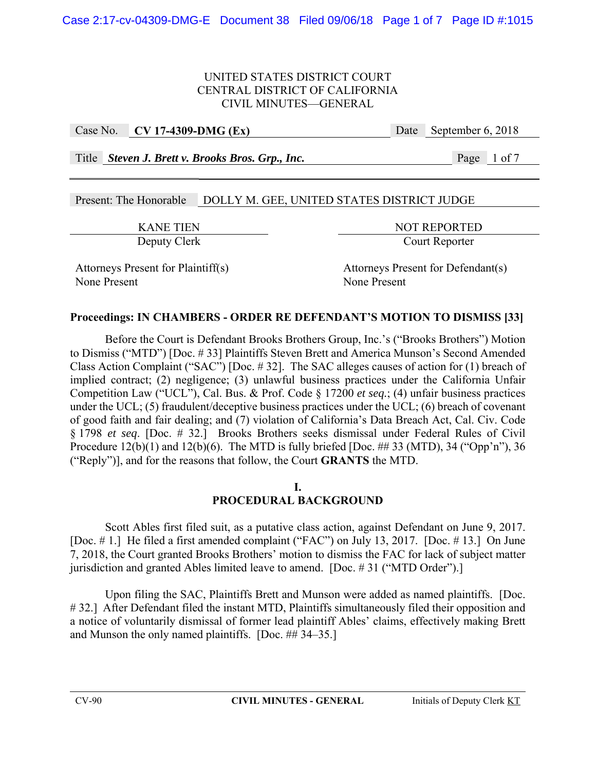Case No. **CV 17-4309-DMG (Ex)** Date September 6, 2018

Title *Steven J. Brett v. Brooks Bros. Grp., Inc.* Page 1 of 7

# Present: The Honorable DOLLY M. GEE, UNITED STATES DISTRICT JUDGE

KANE TIEN NOT REPORTED Deputy Clerk Court Reporter

None Present None Present

Attorneys Present for Plaintiff(s) Attorneys Present for Defendant(s)

# **Proceedings: IN CHAMBERS - ORDER RE DEFENDANT'S MOTION TO DISMISS [33]**

Before the Court is Defendant Brooks Brothers Group, Inc.'s ("Brooks Brothers") Motion to Dismiss ("MTD") [Doc. # 33] Plaintiffs Steven Brett and America Munson's Second Amended Class Action Complaint ("SAC") [Doc. # 32]. The SAC alleges causes of action for (1) breach of implied contract; (2) negligence; (3) unlawful business practices under the California Unfair Competition Law ("UCL"), Cal. Bus. & Prof. Code § 17200 *et seq.*; (4) unfair business practices under the UCL; (5) fraudulent/deceptive business practices under the UCL; (6) breach of covenant of good faith and fair dealing; and (7) violation of California's Data Breach Act, Cal. Civ. Code § 1798 *et seq*. [Doc. # 32.] Brooks Brothers seeks dismissal under Federal Rules of Civil Procedure  $12(b)(1)$  and  $12(b)(6)$ . The MTD is fully briefed [Doc. ## 33 (MTD), 34 ("Opp'n"), 36 ("Reply")], and for the reasons that follow, the Court **GRANTS** the MTD.

## **I. PROCEDURAL BACKGROUND**

Scott Ables first filed suit, as a putative class action, against Defendant on June 9, 2017. [Doc. # 1.] He filed a first amended complaint ("FAC") on July 13, 2017. [Doc. # 13.] On June 7, 2018, the Court granted Brooks Brothers' motion to dismiss the FAC for lack of subject matter jurisdiction and granted Ables limited leave to amend. [Doc. #31 ("MTD Order").]

Upon filing the SAC, Plaintiffs Brett and Munson were added as named plaintiffs. [Doc. #32.] After Defendant filed the instant MTD, Plaintiffs simultaneously filed their opposition and a notice of voluntarily dismissal of former lead plaintiff Ables' claims, effectively making Brett and Munson the only named plaintiffs. [Doc. ## 34–35.]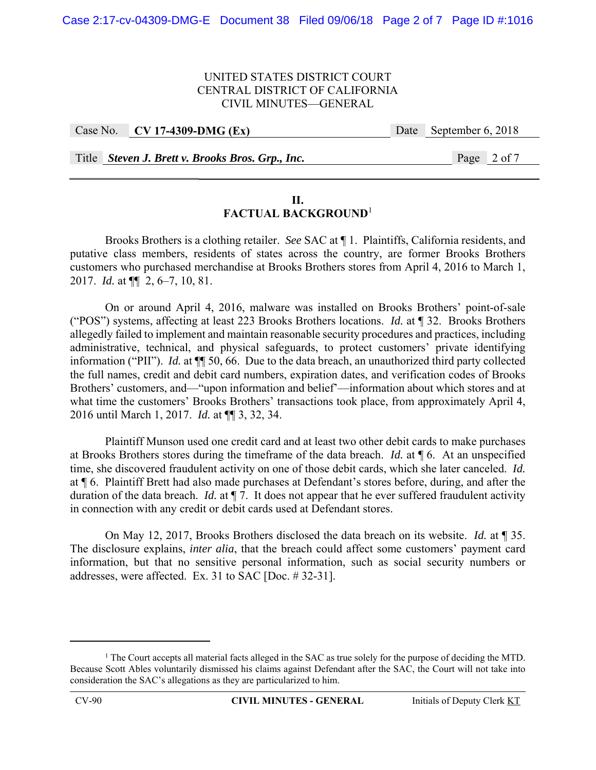|  | Case No. CV 17-4309-DMG $(EX)$                   | Date September 6, 2018 |
|--|--------------------------------------------------|------------------------|
|  |                                                  |                        |
|  | Title Steven J. Brett v. Brooks Bros. Grp., Inc. | Page 2 of 7            |

#### **II. FACTUAL BACKGROUND**<sup>1</sup>

 Brooks Brothers is a clothing retailer. *See* SAC at ¶ 1. Plaintiffs, California residents, and putative class members, residents of states across the country, are former Brooks Brothers customers who purchased merchandise at Brooks Brothers stores from April 4, 2016 to March 1, 2017. *Id.* at ¶¶ 2, 6–7, 10, 81.

 On or around April 4, 2016, malware was installed on Brooks Brothers' point-of-sale ("POS") systems, affecting at least 223 Brooks Brothers locations. *Id.* at ¶ 32. Brooks Brothers allegedly failed to implement and maintain reasonable security procedures and practices, including administrative, technical, and physical safeguards, to protect customers' private identifying information ("PII"). *Id.* at ¶¶ 50, 66. Due to the data breach, an unauthorized third party collected the full names, credit and debit card numbers, expiration dates, and verification codes of Brooks Brothers' customers, and—"upon information and belief'—information about which stores and at what time the customers' Brooks Brothers' transactions took place, from approximately April 4, 2016 until March 1, 2017. *Id.* at ¶¶ 3, 32, 34.

 Plaintiff Munson used one credit card and at least two other debit cards to make purchases at Brooks Brothers stores during the timeframe of the data breach. *Id.* at ¶ 6. At an unspecified time, she discovered fraudulent activity on one of those debit cards, which she later canceled. *Id.*  at ¶ 6. Plaintiff Brett had also made purchases at Defendant's stores before, during, and after the duration of the data breach. *Id.* at ¶ 7. It does not appear that he ever suffered fraudulent activity in connection with any credit or debit cards used at Defendant stores.

 On May 12, 2017, Brooks Brothers disclosed the data breach on its website. *Id.* at ¶ 35. The disclosure explains, *inter alia*, that the breach could affect some customers' payment card information, but that no sensitive personal information, such as social security numbers or addresses, were affected. Ex. 31 to SAC [Doc. # 32-31].

<sup>&</sup>lt;sup>1</sup> The Court accepts all material facts alleged in the SAC as true solely for the purpose of deciding the MTD. Because Scott Ables voluntarily dismissed his claims against Defendant after the SAC, the Court will not take into consideration the SAC's allegations as they are particularized to him.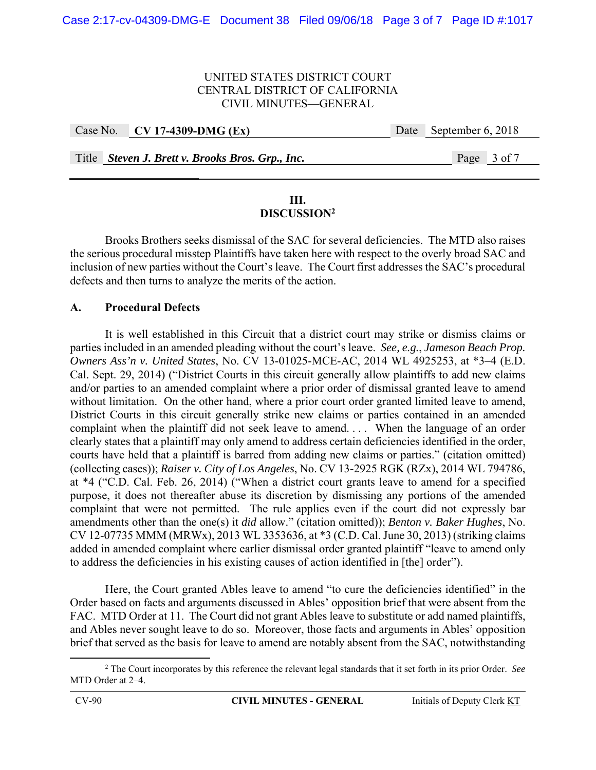|  | Case No. CV 17-4309-DMG (Ex)                     | Date September 6, 2018 |
|--|--------------------------------------------------|------------------------|
|  |                                                  |                        |
|  | Title Steven J. Brett v. Brooks Bros. Grp., Inc. | Page 3 of 7            |

#### **III. DISCUSSION2**

 Brooks Brothers seeks dismissal of the SAC for several deficiencies. The MTD also raises the serious procedural misstep Plaintiffs have taken here with respect to the overly broad SAC and inclusion of new parties without the Court's leave. The Court first addresses the SAC's procedural defects and then turns to analyze the merits of the action.

## **A. Procedural Defects**

It is well established in this Circuit that a district court may strike or dismiss claims or parties included in an amended pleading without the court's leave. *See, e.g.*, *Jameson Beach Prop. Owners Ass'n v. United States*, No. CV 13-01025-MCE-AC, 2014 WL 4925253, at \*3–4 (E.D. Cal. Sept. 29, 2014) ("District Courts in this circuit generally allow plaintiffs to add new claims and/or parties to an amended complaint where a prior order of dismissal granted leave to amend without limitation. On the other hand, where a prior court order granted limited leave to amend, District Courts in this circuit generally strike new claims or parties contained in an amended complaint when the plaintiff did not seek leave to amend. . . . When the language of an order clearly states that a plaintiff may only amend to address certain deficiencies identified in the order, courts have held that a plaintiff is barred from adding new claims or parties." (citation omitted) (collecting cases)); *Raiser v. City of Los Angeles*, No. CV 13-2925 RGK (RZx), 2014 WL 794786, at \*4 ("C.D. Cal. Feb. 26, 2014) ("When a district court grants leave to amend for a specified purpose, it does not thereafter abuse its discretion by dismissing any portions of the amended complaint that were not permitted. The rule applies even if the court did not expressly bar amendments other than the one(s) it *did* allow." (citation omitted)); *Benton v. Baker Hughes*, No. CV 12-07735 MMM (MRWx), 2013 WL 3353636, at \*3 (C.D. Cal. June 30, 2013) (striking claims added in amended complaint where earlier dismissal order granted plaintiff "leave to amend only to address the deficiencies in his existing causes of action identified in [the] order").

Here, the Court granted Ables leave to amend "to cure the deficiencies identified" in the Order based on facts and arguments discussed in Ables' opposition brief that were absent from the FAC. MTD Order at 11. The Court did not grant Ables leave to substitute or add named plaintiffs, and Ables never sought leave to do so. Moreover, those facts and arguments in Ables' opposition brief that served as the basis for leave to amend are notably absent from the SAC, notwithstanding

 2 The Court incorporates by this reference the relevant legal standards that it set forth in its prior Order. *See* MTD Order at 2–4.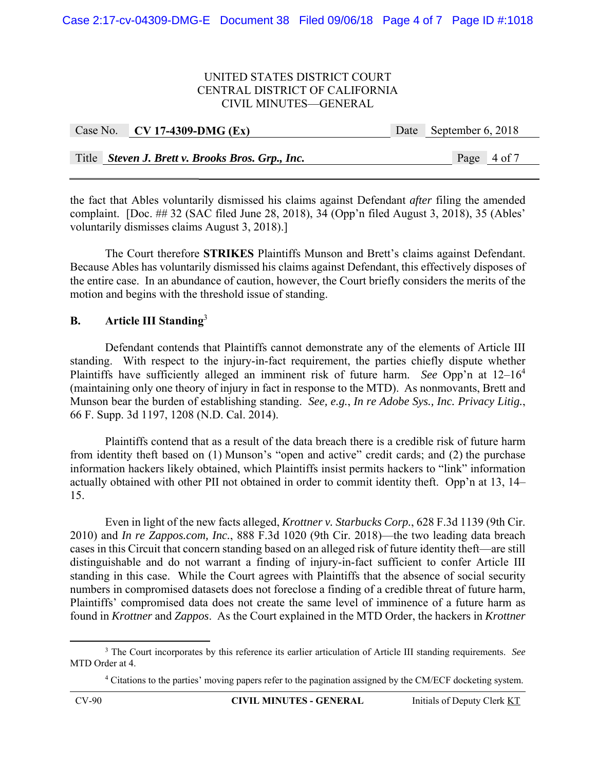| Case No. CV 17-4309-DMG $(EX)$                   | Date September 6, 2018 |
|--------------------------------------------------|------------------------|
|                                                  |                        |
| Title Steven J. Brett v. Brooks Bros. Grp., Inc. | Page 4 of 7            |

the fact that Ables voluntarily dismissed his claims against Defendant *after* filing the amended complaint. [Doc. ## 32 (SAC filed June 28, 2018), 34 (Opp'n filed August 3, 2018), 35 (Ables' voluntarily dismisses claims August 3, 2018).]

 The Court therefore **STRIKES** Plaintiffs Munson and Brett's claims against Defendant. Because Ables has voluntarily dismissed his claims against Defendant, this effectively disposes of the entire case. In an abundance of caution, however, the Court briefly considers the merits of the motion and begins with the threshold issue of standing.

# **B. Article III Standing**<sup>3</sup>

Defendant contends that Plaintiffs cannot demonstrate any of the elements of Article III standing. With respect to the injury-in-fact requirement, the parties chiefly dispute whether Plaintiffs have sufficiently alleged an imminent risk of future harm. *See* Opp'n at 12–164 (maintaining only one theory of injury in fact in response to the MTD). As nonmovants, Brett and Munson bear the burden of establishing standing. *See, e.g.*, *In re Adobe Sys., Inc. Privacy Litig.*, 66 F. Supp. 3d 1197, 1208 (N.D. Cal. 2014).

Plaintiffs contend that as a result of the data breach there is a credible risk of future harm from identity theft based on (1) Munson's "open and active" credit cards; and (2) the purchase information hackers likely obtained, which Plaintiffs insist permits hackers to "link" information actually obtained with other PII not obtained in order to commit identity theft. Opp'n at 13, 14– 15.

 Even in light of the new facts alleged, *Krottner v. Starbucks Corp.*, 628 F.3d 1139 (9th Cir. 2010) and *In re Zappos.com, Inc.*, 888 F.3d 1020 (9th Cir. 2018)—the two leading data breach cases in this Circuit that concern standing based on an alleged risk of future identity theft—are still distinguishable and do not warrant a finding of injury-in-fact sufficient to confer Article III standing in this case. While the Court agrees with Plaintiffs that the absence of social security numbers in compromised datasets does not foreclose a finding of a credible threat of future harm, Plaintiffs' compromised data does not create the same level of imminence of a future harm as found in *Krottner* and *Zappos*. As the Court explained in the MTD Order, the hackers in *Krottner*

 3 The Court incorporates by this reference its earlier articulation of Article III standing requirements. *See* MTD Order at 4.

<sup>&</sup>lt;sup>4</sup> Citations to the parties' moving papers refer to the pagination assigned by the CM/ECF docketing system.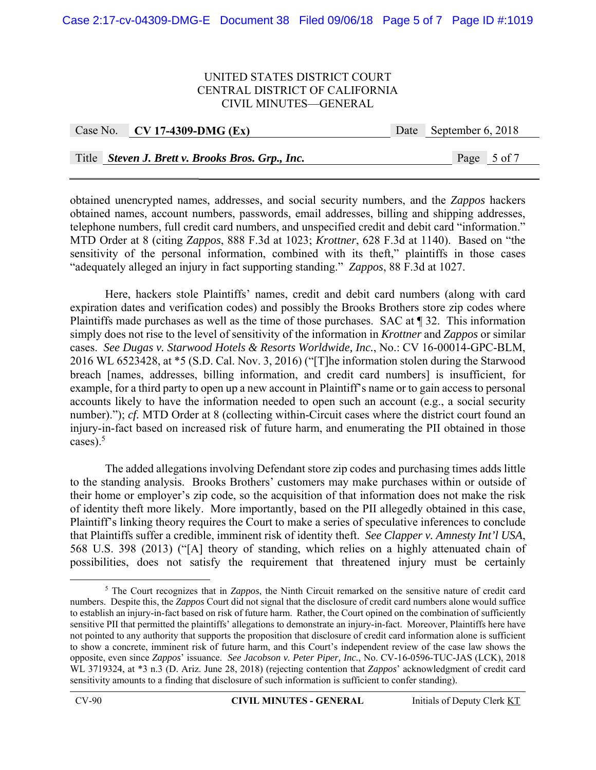|  | Case No. CV 17-4309-DMG (Ex)                     | Date September 6, 2018 |
|--|--------------------------------------------------|------------------------|
|  |                                                  |                        |
|  | Title Steven J. Brett v. Brooks Bros. Grp., Inc. | Page 5 of 7            |

obtained unencrypted names, addresses, and social security numbers, and the *Zappos* hackers obtained names, account numbers, passwords, email addresses, billing and shipping addresses, telephone numbers, full credit card numbers, and unspecified credit and debit card "information." MTD Order at 8 (citing *Zappos*, 888 F.3d at 1023; *Krottner*, 628 F.3d at 1140). Based on "the sensitivity of the personal information, combined with its theft," plaintiffs in those cases "adequately alleged an injury in fact supporting standing." *Zappos*, 88 F.3d at 1027.

Here, hackers stole Plaintiffs' names, credit and debit card numbers (along with card expiration dates and verification codes) and possibly the Brooks Brothers store zip codes where Plaintiffs made purchases as well as the time of those purchases. SAC at ¶ 32. This information simply does not rise to the level of sensitivity of the information in *Krottner* and *Zappos* or similar cases. *See Dugas v. Starwood Hotels & Resorts Worldwide, Inc.*, No.: CV 16-00014-GPC-BLM, 2016 WL 6523428, at \*5 (S.D. Cal. Nov. 3, 2016) ("[T]he information stolen during the Starwood breach [names, addresses, billing information, and credit card numbers] is insufficient, for example, for a third party to open up a new account in Plaintiff's name or to gain access to personal accounts likely to have the information needed to open such an account (e.g., a social security number)."); *cf.* MTD Order at 8 (collecting within-Circuit cases where the district court found an injury-in-fact based on increased risk of future harm, and enumerating the PII obtained in those cases). $5$ 

The added allegations involving Defendant store zip codes and purchasing times adds little to the standing analysis. Brooks Brothers' customers may make purchases within or outside of their home or employer's zip code, so the acquisition of that information does not make the risk of identity theft more likely. More importantly, based on the PII allegedly obtained in this case, Plaintiff's linking theory requires the Court to make a series of speculative inferences to conclude that Plaintiffs suffer a credible, imminent risk of identity theft. *See Clapper v. Amnesty Int'l USA*, 568 U.S. 398 (2013) ("[A] theory of standing, which relies on a highly attenuated chain of possibilities, does not satisfy the requirement that threatened injury must be certainly

<sup>&</sup>lt;sup>5</sup> The Court recognizes that in *Zappos*, the Ninth Circuit remarked on the sensitive nature of credit card numbers. Despite this, the *Zappos* Court did not signal that the disclosure of credit card numbers alone would suffice to establish an injury-in-fact based on risk of future harm. Rather, the Court opined on the combination of sufficiently sensitive PII that permitted the plaintiffs' allegations to demonstrate an injury-in-fact. Moreover, Plaintiffs here have not pointed to any authority that supports the proposition that disclosure of credit card information alone is sufficient to show a concrete, imminent risk of future harm, and this Court's independent review of the case law shows the opposite, even since *Zappos*' issuance. *See Jacobson v. Peter Piper, Inc.*, No. CV-16-0596-TUC-JAS (LCK), 2018 WL 3719324, at \*3 n.3 (D. Ariz. June 28, 2018) (rejecting contention that *Zappos*' acknowledgment of credit card sensitivity amounts to a finding that disclosure of such information is sufficient to confer standing).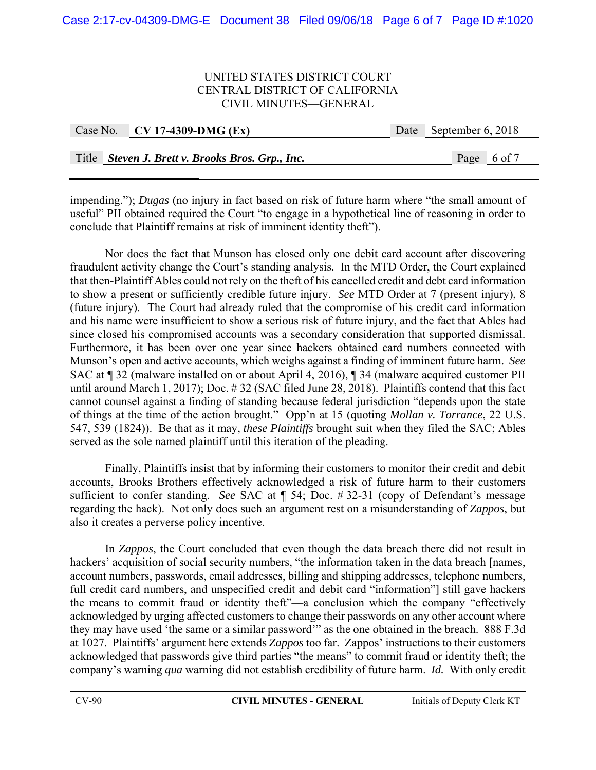| Case No. CV 17-4309-DMG (Ex)                     | Date September 6, 2018 |  |
|--------------------------------------------------|------------------------|--|
| Title Steven J. Brett v. Brooks Bros. Grp., Inc. | Page 6 of 7            |  |

impending."); *Dugas* (no injury in fact based on risk of future harm where "the small amount of useful" PII obtained required the Court "to engage in a hypothetical line of reasoning in order to conclude that Plaintiff remains at risk of imminent identity theft").

Nor does the fact that Munson has closed only one debit card account after discovering fraudulent activity change the Court's standing analysis. In the MTD Order, the Court explained that then-Plaintiff Ables could not rely on the theft of his cancelled credit and debt card information to show a present or sufficiently credible future injury. *See* MTD Order at 7 (present injury), 8 (future injury). The Court had already ruled that the compromise of his credit card information and his name were insufficient to show a serious risk of future injury, and the fact that Ables had since closed his compromised accounts was a secondary consideration that supported dismissal. Furthermore, it has been over one year since hackers obtained card numbers connected with Munson's open and active accounts, which weighs against a finding of imminent future harm. *See* SAC at ¶ 32 (malware installed on or about April 4, 2016), ¶ 34 (malware acquired customer PII until around March 1, 2017); Doc. # 32 (SAC filed June 28, 2018). Plaintiffs contend that this fact cannot counsel against a finding of standing because federal jurisdiction "depends upon the state of things at the time of the action brought." Opp'n at 15 (quoting *Mollan v. Torrance*, 22 U.S. 547, 539 (1824)). Be that as it may, *these Plaintiffs* brought suit when they filed the SAC; Ables served as the sole named plaintiff until this iteration of the pleading.

 Finally, Plaintiffs insist that by informing their customers to monitor their credit and debit accounts, Brooks Brothers effectively acknowledged a risk of future harm to their customers sufficient to confer standing. *See* SAC at ¶ 54; Doc. # 32-31 (copy of Defendant's message regarding the hack). Not only does such an argument rest on a misunderstanding of *Zappos*, but also it creates a perverse policy incentive.

In *Zappos*, the Court concluded that even though the data breach there did not result in hackers' acquisition of social security numbers, "the information taken in the data breach [names, account numbers, passwords, email addresses, billing and shipping addresses, telephone numbers, full credit card numbers, and unspecified credit and debit card "information"] still gave hackers the means to commit fraud or identity theft"—a conclusion which the company "effectively acknowledged by urging affected customers to change their passwords on any other account where they may have used 'the same or a similar password'" as the one obtained in the breach. 888 F.3d at 1027. Plaintiffs' argument here extends *Zappos* too far. Zappos' instructions to their customers acknowledged that passwords give third parties "the means" to commit fraud or identity theft; the company's warning *qua* warning did not establish credibility of future harm. *Id.* With only credit